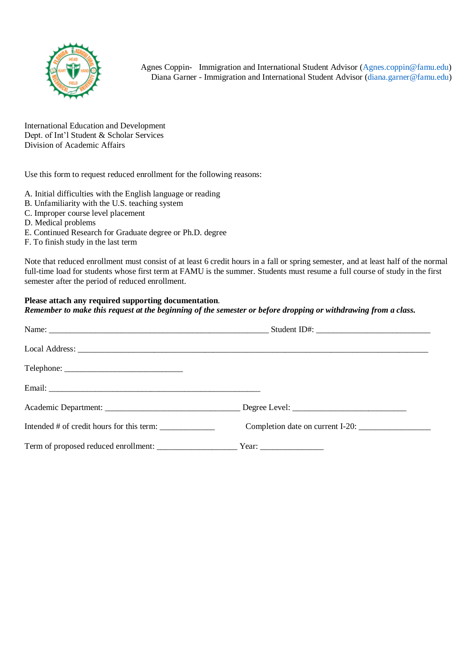

Agnes Coppin- Immigration and International Student Advisor [\(Agnes.coppin@famu.edu\)](mailto:Agnes.coppin@famu.edu) Diana Garner - Immigration and International Student Advisor [\(diana.garner@famu.edu\)](mailto:diana.garner@famu.edu)

International Education and Development Dept. of Int'l Student & Scholar Services Division of Academic Affairs

Use this form to request reduced enrollment for the following reasons:

- A. Initial difficulties with the English language or reading
- B. Unfamiliarity with the U.S. teaching system
- C. Improper course level placement
- D. Medical problems
- E. Continued Research for Graduate degree or Ph.D. degree
- F. To finish study in the last term

Note that reduced enrollment must consist of at least 6 credit hours in a fall or spring semester, and at least half of the normal full-time load for students whose first term at FAMU is the summer. Students must resume a full course of study in the first semester after the period of reduced enrollment.

## **Please attach any required supporting documentation**.

*Remember to make this request at the beginning of the semester or before dropping or withdrawing from a class.* 

| Intended # of credit hours for this term: | Completion date on current I-20: |
|-------------------------------------------|----------------------------------|
|                                           |                                  |